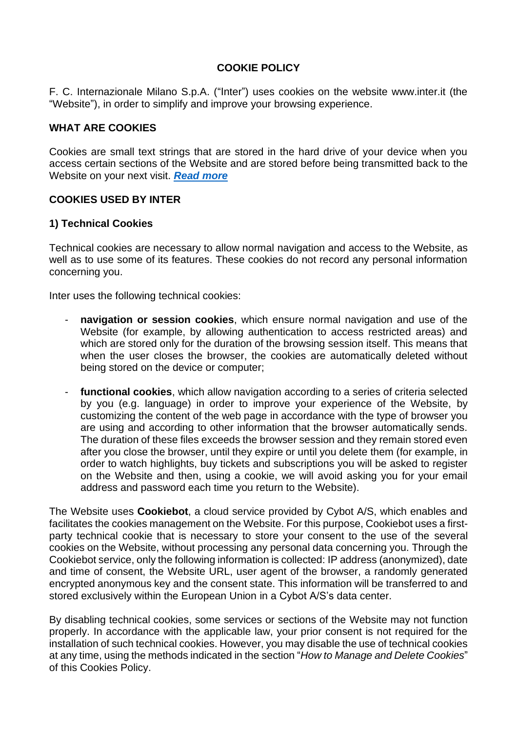### **COOKIE POLICY**

F. C. Internazionale Milano S.p.A. ("Inter") uses cookies on the website www.inter.it (the "Website"), in order to simplify and improve your browsing experience.

#### **WHAT ARE COOKIES**

Cookies are small text strings that are stored in the hard drive of your device when you access certain sections of the Website and are stored before being transmitted back to the Website on your next visit. *[Read](https://www.garanteprivacy.it/cookie#:~:text=I%20cookie%20sono%20informazioni%20immesse,un%20identificatore%20numerico%2C%20ecc..) more*

### **COOKIES USED BY INTER**

### **1) Technical Cookies**

Technical cookies are necessary to allow normal navigation and access to the Website, as well as to use some of its features. These cookies do not record any personal information concerning you.

Inter uses the following technical cookies:

- navigation or session cookies, which ensure normal navigation and use of the Website (for example, by allowing authentication to access restricted areas) and which are stored only for the duration of the browsing session itself. This means that when the user closes the browser, the cookies are automatically deleted without being stored on the device or computer;
- functional cookies, which allow navigation according to a series of criteria selected by you (e.g. language) in order to improve your experience of the Website, by customizing the content of the web page in accordance with the type of browser you are using and according to other information that the browser automatically sends. The duration of these files exceeds the browser session and they remain stored even after you close the browser, until they expire or until you delete them (for example, in order to watch highlights, buy tickets and subscriptions you will be asked to register on the Website and then, using a cookie, we will avoid asking you for your email address and password each time you return to the Website).

The Website uses **Cookiebot**, a cloud service provided by Cybot A/S, which enables and facilitates the cookies management on the Website. For this purpose, Cookiebot uses a firstparty technical cookie that is necessary to store your consent to the use of the several cookies on the Website, without processing any personal data concerning you. Through the Cookiebot service, only the following information is collected: IP address (anonymized), date and time of consent, the Website URL, user agent of the browser, a randomly generated encrypted anonymous key and the consent state. This information will be transferred to and stored exclusively within the European Union in a Cybot A/S's data center.

By disabling technical cookies, some services or sections of the Website may not function properly. In accordance with the applicable law, your prior consent is not required for the installation of such technical cookies. However, you may disable the use of technical cookies at any time, using the methods indicated in the section "*How to Manage and Delete Cookies*" of this Cookies Policy.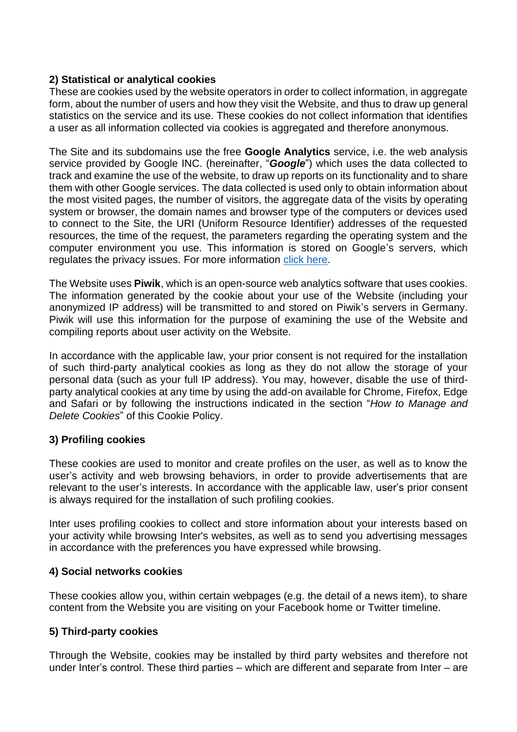### **2) Statistical or analytical cookies**

These are cookies used by the website operators in order to collect information, in aggregate form, about the number of users and how they visit the Website, and thus to draw up general statistics on the service and its use. These cookies do not collect information that identifies a user as all information collected via cookies is aggregated and therefore anonymous.

The Site and its subdomains use the free **Google Analytics** service, i.e. the web analysis service provided by Google INC. (hereinafter, "*Google*") which uses the data collected to track and examine the use of the website, to draw up reports on its functionality and to share them with other Google services. The data collected is used only to obtain information about the most visited pages, the number of visitors, the aggregate data of the visits by operating system or browser, the domain names and browser type of the computers or devices used to connect to the Site, the URI (Uniform Resource Identifier) addresses of the requested resources, the time of the request, the parameters regarding the operating system and the computer environment you use. This information is stored on Google's servers, which regulates the privacy issues. For more information [click here.](https://tools.google.com/dlpage/gaoptout)

The Website uses **Piwik**, which is an open-source web analytics software that uses cookies. The information generated by the cookie about your use of the Website (including your anonymized IP address) will be transmitted to and stored on Piwik's servers in Germany. Piwik will use this information for the purpose of examining the use of the Website and compiling reports about user activity on the Website.

In accordance with the applicable law, your prior consent is not required for the installation of such third-party analytical cookies as long as they do not allow the storage of your personal data (such as your full IP address). You may, however, disable the use of thirdparty analytical cookies at any time by using the add-on available for Chrome, Firefox, Edge and Safari or by following the instructions indicated in the section "*How to Manage and Delete Cookies*" of this Cookie Policy.

# **3) Profiling cookies**

These cookies are used to monitor and create profiles on the user, as well as to know the user's activity and web browsing behaviors, in order to provide advertisements that are relevant to the user's interests. In accordance with the applicable law, user's prior consent is always required for the installation of such profiling cookies.

Inter uses profiling cookies to collect and store information about your interests based on your activity while browsing Inter's websites, as well as to send you advertising messages in accordance with the preferences you have expressed while browsing.

#### **4) Social networks cookies**

These cookies allow you, within certain webpages (e.g. the detail of a news item), to share content from the Website you are visiting on your Facebook home or Twitter timeline.

# **5) Third-party cookies**

Through the Website, cookies may be installed by third party websites and therefore not under Inter's control. These third parties – which are different and separate from Inter – are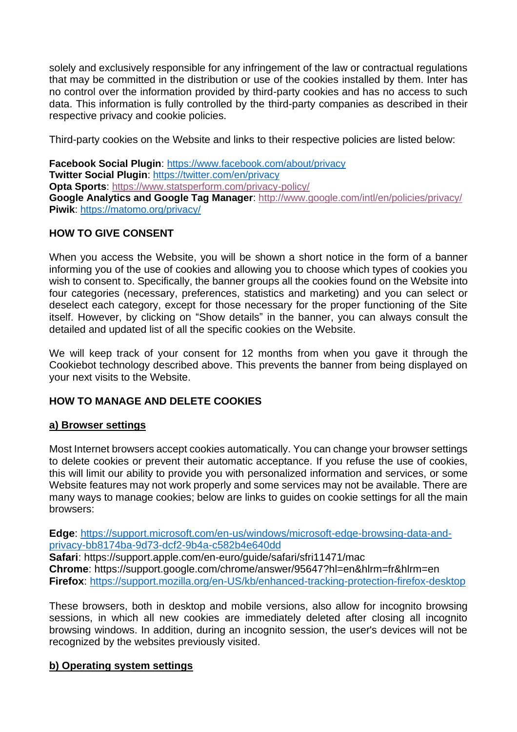solely and exclusively responsible for any infringement of the law or contractual regulations that may be committed in the distribution or use of the cookies installed by them. Inter has no control over the information provided by third-party cookies and has no access to such data. This information is fully controlled by the third-party companies as described in their respective privacy and cookie policies.

Third-party cookies on the Website and links to their respective policies are listed below:

**Facebook Social Plugin**:<https://www.facebook.com/about/privacy> **Twitter Social Plugin**:<https://twitter.com/en/privacy> **Opta Sports**:<https://www.statsperform.com/privacy-policy/> **Google Analytics and Google Tag Manager**:<http://www.google.com/intl/en/policies/privacy/> **Piwik**:<https://matomo.org/privacy/>

### **HOW TO GIVE CONSENT**

When you access the Website, you will be shown a short notice in the form of a banner informing you of the use of cookies and allowing you to choose which types of cookies you wish to consent to. Specifically, the banner groups all the cookies found on the Website into four categories (necessary, preferences, statistics and marketing) and you can select or deselect each category, except for those necessary for the proper functioning of the Site itself. However, by clicking on "Show details" in the banner, you can always consult the detailed and updated list of all the specific cookies on the Website.

We will keep track of your consent for 12 months from when you gave it through the Cookiebot technology described above. This prevents the banner from being displayed on your next visits to the Website.

# **HOW TO MANAGE AND DELETE COOKIES**

#### **a) Browser settings**

Most Internet browsers accept cookies automatically. You can change your browser settings to delete cookies or prevent their automatic acceptance. If you refuse the use of cookies, this will limit our ability to provide you with personalized information and services, or some Website features may not work properly and some services may not be available. There are many ways to manage cookies; below are links to guides on cookie settings for all the main browsers:

**Edge**: [https://support.microsoft.com/en-us/windows/microsoft-edge-browsing-data-and](https://support.microsoft.com/en-us/windows/microsoft-edge-browsing-data-and-privacy-bb8174ba-9d73-dcf2-9b4a-c582b4e640dd)[privacy-bb8174ba-9d73-dcf2-9b4a-c582b4e640dd](https://support.microsoft.com/en-us/windows/microsoft-edge-browsing-data-and-privacy-bb8174ba-9d73-dcf2-9b4a-c582b4e640dd)

**Safari**: https://support.apple.com/en-euro/guide/safari/sfri11471/mac **Chrome**: https://support.google.com/chrome/answer/95647?hl=en&hlrm=fr&hlrm=en **Firefox**:<https://support.mozilla.org/en-US/kb/enhanced-tracking-protection-firefox-desktop>

These browsers, both in desktop and mobile versions, also allow for incognito browsing sessions, in which all new cookies are immediately deleted after closing all incognito browsing windows. In addition, during an incognito session, the user's devices will not be recognized by the websites previously visited.

# **b) Operating system settings**